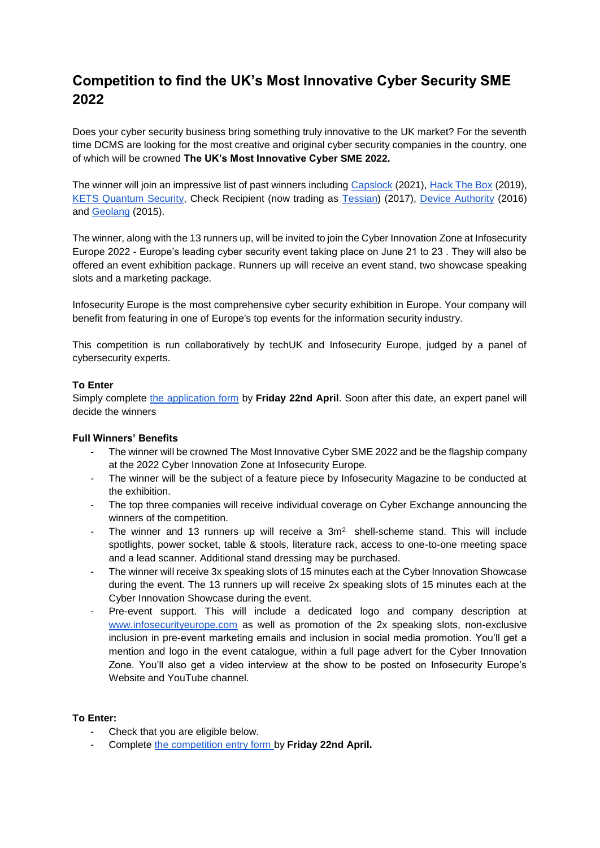# **Competition to find the UK's Most Innovative Cyber Security SME 2022**

Does your cyber security business bring something truly innovative to the UK market? For the seventh time DCMS are looking for the most creative and original cyber security companies in the country, one of which will be crowned **The UK's Most Innovative Cyber SME 2022.** 

The winner will join an impressive list of past winners including [Capslock](https://www.capslock.ac/) (2021), [Hack The Box](https://www.hackthebox.eu/) (2019), [KETS Quantum Security,](https://www.kets-quantum.com/) Check Recipient (now trading as [Tessian\)](https://www.tessian.com/) (2017), [Device Authority](https://www.deviceauthority.com/) (2016) and [Geolang](https://www.geolang.com/) (2015).

The winner, along with the 13 runners up, will be invited to join the Cyber Innovation Zone at Infosecurity Europe 2022 - Europe's leading cyber security event taking place on June 21 to 23 . They will also be offered an event exhibition package. Runners up will receive an event stand, two showcase speaking slots and a marketing package.

Infosecurity Europe is the most comprehensive cyber security exhibition in Europe. Your company will benefit from featuring in one of Europe's top events for the information security industry.

This competition is run collaboratively by techUK and Infosecurity Europe, judged by a panel of cybersecurity experts.

## **To Enter**

Simply complete [the application form](https://docs.google.com/forms/d/e/1FAIpQLSfU4Ee1BrPI5zZVaYxO5lKAlkjlgxV_hhwf4LpVZEbfIdsYhA/viewform?usp=sf_link) by **Friday 22nd April**. Soon after this date, an expert panel will decide the winners

## **Full Winners' Benefits**

- The winner will be crowned The Most Innovative Cyber SME 2022 and be the flagship company at the 2022 Cyber Innovation Zone at Infosecurity Europe.
- The winner will be the subject of a feature piece by Infosecurity Magazine to be conducted at the exhibition.
- The top three companies will receive individual coverage on Cyber Exchange announcing the winners of the competition.
- The winner and 13 runners up will receive a  $3m<sup>2</sup>$  shell-scheme stand. This will include spotlights, power socket, table & stools, literature rack, access to one-to-one meeting space and a lead scanner. Additional stand dressing may be purchased.
- The winner will receive 3x speaking slots of 15 minutes each at the Cyber Innovation Showcase during the event. The 13 runners up will receive 2x speaking slots of 15 minutes each at the Cyber Innovation Showcase during the event.
- Pre-event support. This will include a dedicated logo and company description at [www.infosecurityeurope.com](http://www.infosecurityeurope.com/) as well as promotion of the 2x speaking slots, non-exclusive inclusion in pre-event marketing emails and inclusion in social media promotion. You'll get a mention and logo in the event catalogue, within a full page advert for the Cyber Innovation Zone. You'll also get a video interview at the show to be posted on Infosecurity Europe's Website and YouTube channel.

## **To Enter:**

- Check that you are eligible below.
- Complete [the competition entry form b](https://docs.google.com/forms/d/1Yq1fCO7tXYh9PJkTiUh1PfHCc4qylpzpNoD00n7gDs4/edit?usp=sharingrPI5zZVaYxO5lKAlkjlgxV_hhwf4LpVZEbfIdsYhA/viewform?usp=sf_link)y Friday 22nd April.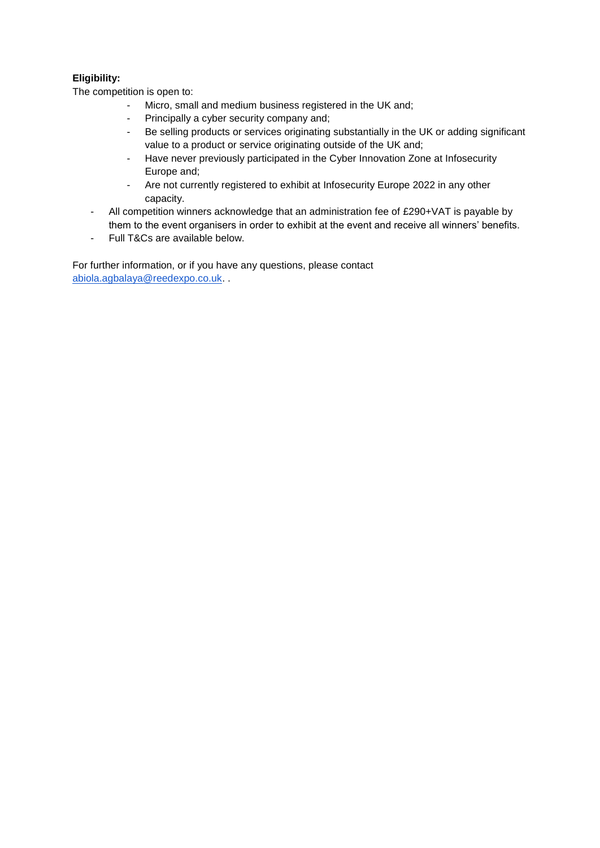## **Eligibility:**

The competition is open to:

- Micro, small and medium business registered in the UK and;
- Principally a cyber security company and;
- Be selling products or services originating substantially in the UK or adding significant value to a product or service originating outside of the UK and;
- Have never previously participated in the Cyber Innovation Zone at Infosecurity Europe and;
- Are not currently registered to exhibit at Infosecurity Europe 2022 in any other capacity.
- All competition winners acknowledge that an administration fee of £290+VAT is payable by them to the event organisers in order to exhibit at the event and receive all winners' benefits.
- Full T&Cs are available below.

For further information, or if you have any questions, please contact [abiola.agbalaya@reedexpo.co.uk.](mailto:Abiola.Agbalaya@reedexpo.co.uk) .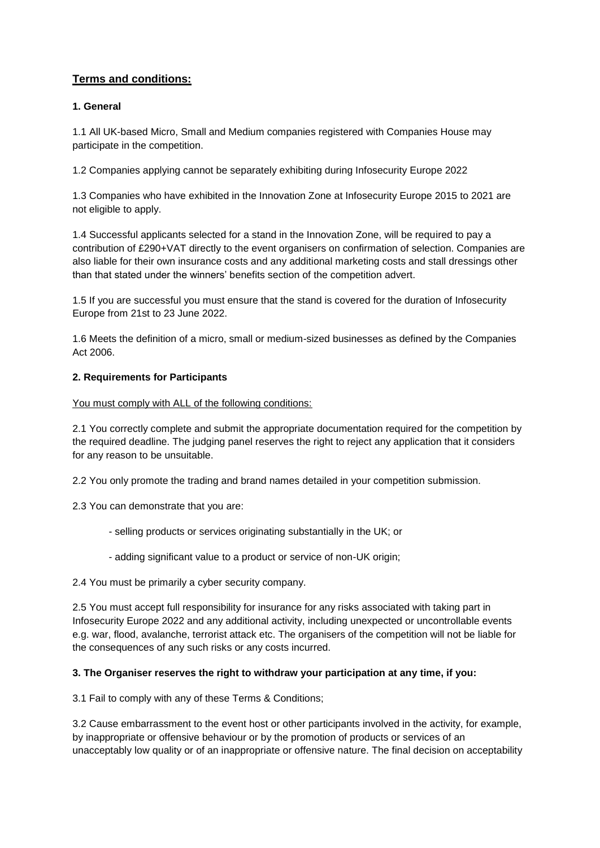## **Terms and conditions:**

## **1. General**

1.1 All UK-based Micro, Small and Medium companies registered with Companies House may participate in the competition.

1.2 Companies applying cannot be separately exhibiting during Infosecurity Europe 2022

1.3 Companies who have exhibited in the Innovation Zone at Infosecurity Europe 2015 to 2021 are not eligible to apply.

1.4 Successful applicants selected for a stand in the Innovation Zone, will be required to pay a contribution of £290+VAT directly to the event organisers on confirmation of selection. Companies are also liable for their own insurance costs and any additional marketing costs and stall dressings other than that stated under the winners' benefits section of the competition advert.

1.5 If you are successful you must ensure that the stand is covered for the duration of Infosecurity Europe from 21st to 23 June 2022.

1.6 Meets the definition of a micro, small or medium-sized businesses as defined by the Companies Act 2006.

## **2. Requirements for Participants**

You must comply with ALL of the following conditions:

2.1 You correctly complete and submit the appropriate documentation required for the competition by the required deadline. The judging panel reserves the right to reject any application that it considers for any reason to be unsuitable.

2.2 You only promote the trading and brand names detailed in your competition submission.

2.3 You can demonstrate that you are:

- selling products or services originating substantially in the UK; or
- adding significant value to a product or service of non-UK origin;
- 2.4 You must be primarily a cyber security company.

2.5 You must accept full responsibility for insurance for any risks associated with taking part in Infosecurity Europe 2022 and any additional activity, including unexpected or uncontrollable events e.g. war, flood, avalanche, terrorist attack etc. The organisers of the competition will not be liable for the consequences of any such risks or any costs incurred.

## **3. The Organiser reserves the right to withdraw your participation at any time, if you:**

3.1 Fail to comply with any of these Terms & Conditions;

3.2 Cause embarrassment to the event host or other participants involved in the activity, for example, by inappropriate or offensive behaviour or by the promotion of products or services of an unacceptably low quality or of an inappropriate or offensive nature. The final decision on acceptability